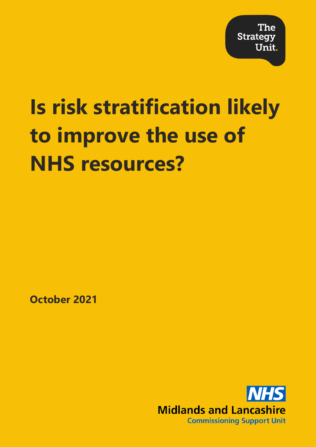# **Is risk stratification likely to improve the use of NHS resources?**

**October 2021**

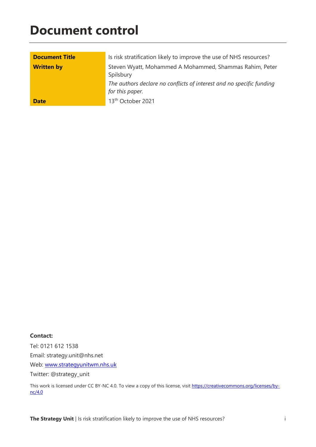## **Document control**

| <b>Document Title</b> | Is risk stratification likely to improve the use of NHS resources?                      |  |  |  |
|-----------------------|-----------------------------------------------------------------------------------------|--|--|--|
| <b>Written by</b>     | Steven Wyatt, Mohammed A Mohammed, Shammas Rahim, Peter<br>Spilsbury                    |  |  |  |
|                       | The authors declare no conflicts of interest and no specific funding<br>for this paper. |  |  |  |
| <b>Date</b>           | 13 <sup>th</sup> October 2021                                                           |  |  |  |

#### **Contact:**

Tel: 0121 612 1538 Email: strategy.unit@nhs.net Web: [www.strategyunitwm.nhs.uk](http://www.strategyunitwm.nhs.uk/) Twitter: @strategy\_unit

This work is licensed under CC BY-NC 4.0. To view a copy of this license, visit [https://creativecommons.org/licenses/by](https://creativecommons.org/licenses/by-nc/4.0)[nc/4.0](https://creativecommons.org/licenses/by-nc/4.0)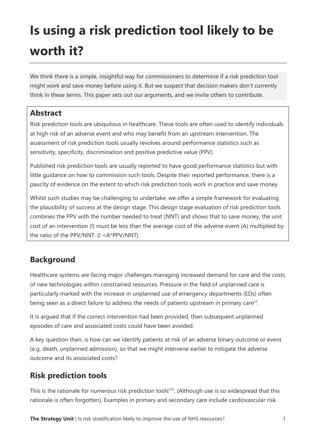# **Is using a risk prediction tool likely to be worth it?**

We think there is a simple, insightful way for commissioners to determine if a risk prediction tool might work and save money before using it. But we suspect that decision makers don't currently think in these terms. This paper sets out our arguments, and we invite others to contribute.

#### **Abstract**

Risk prediction tools are ubiquitous in healthcare. These tools are often used to identify individuals at high risk of an adverse event and who may benefit from an upstream intervention. The assessment of risk prediction tools usually revolves around performance statistics such as sensitivity, specificity, discrimination and positive predictive value (PPV).

Published risk prediction tools are usually reported to have good performance statistics but with little guidance on how to commission such tools. Despite their reported performance, there is a paucity of evidence on the extent to which risk prediction tools work in practice and save money.

Whilst such studies may be challenging to undertake, we offer a simple framework for evaluating the plausibility of success at the design stage. This design stage evaluation of risk prediction tools combines the PPV with the number needed to treat (NNT) and shows that to save money, the unit cost of an intervention (I) must be less than the average cost of the adverse event (A) multiplied by the ratio of the PPV/NNT. (I <A\*PPV/NNT).

#### **Background**

Healthcare systems are facing major challenges managing increased demand for care and the costs of new technologies within constrained resources. Pressure in the field of unplanned care is particularly marked with the increase in unplanned use of emergency departments (EDs) often being seen as a direct failure to address the needs of patients upstream in primary care<sup>i,ii</sup>.

It is argued that if the correct intervention had been provided, then subsequent unplanned episodes of care and associated costs could have been avoided.

A key question then, is how can we identify patients at risk of an adverse binary outcome or event (e.g. death, unplanned admission), so that we might intervene earlier to mitigate the adverse outcome and its associated costs?

#### **Risk prediction tools**

This is the rationale for numerous risk prediction toolsi, (Although use is so widespread that this rationale is often forgotten). Examples in primary and secondary care include cardiovascular risk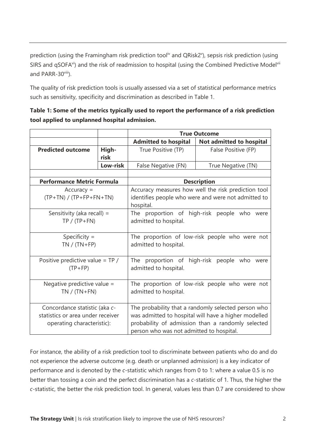prediction (using the Framingham risk prediction tool<sup>iv</sup> and QRisk2<sup>y</sup>), sepsis risk prediction (using SIRS and qSOFA<sup>vi</sup>) and the risk of readmission to hospital (using the Combined Predictive Model<sup>vii</sup> and PARR-30viii).

The quality of risk prediction tools is usually assessed via a set of statistical performance metrics such as sensitivity, specificity and discrimination as described in Table 1.

| Table 1: Some of the metrics typically used to report the performance of a risk prediction |
|--------------------------------------------------------------------------------------------|
| tool applied to unplanned hospital admission.                                              |

|                                                                                                  |               | <b>True Outcome</b>                                                                                                                                                                                          |                          |  |
|--------------------------------------------------------------------------------------------------|---------------|--------------------------------------------------------------------------------------------------------------------------------------------------------------------------------------------------------------|--------------------------|--|
|                                                                                                  |               | <b>Admitted to hospital</b>                                                                                                                                                                                  | Not admitted to hospital |  |
| <b>Predicted outcome</b>                                                                         | High-<br>risk | True Positive (TP)                                                                                                                                                                                           | False Positive (FP)      |  |
|                                                                                                  | Low-risk      | False Negative (FN)                                                                                                                                                                                          | True Negative (TN)       |  |
|                                                                                                  |               |                                                                                                                                                                                                              |                          |  |
| <b>Performance Metric Formula</b>                                                                |               | <b>Description</b>                                                                                                                                                                                           |                          |  |
| $Accuracy =$<br>$(TP+TN) / (TP+FP+FN+TN)$                                                        |               | Accuracy measures how well the risk prediction tool<br>identifies people who were and were not admitted to<br>hospital.                                                                                      |                          |  |
| Sensitivity (aka recall) =<br>$TP / (TP + FN)$                                                   |               | The proportion of high-risk people who<br>were<br>admitted to hospital.                                                                                                                                      |                          |  |
| Specificity $=$<br>$TN / (TN + FP)$                                                              |               | The proportion of low-risk people who were not<br>admitted to hospital.                                                                                                                                      |                          |  |
| Positive predictive value = TP /<br>$(TP+FP)$                                                    |               | The proportion of high-risk people who were<br>admitted to hospital.                                                                                                                                         |                          |  |
| Negative predictive value =<br>$TN / (TN + FN)$                                                  |               | The proportion of low-risk people who were not<br>admitted to hospital.                                                                                                                                      |                          |  |
| Concordance statistic (aka c-<br>statistics or area under receiver<br>operating characteristic): |               | The probability that a randomly selected person who<br>was admitted to hospital will have a higher modelled<br>probability of admission than a randomly selected<br>person who was not admitted to hospital. |                          |  |

For instance, the ability of a risk prediction tool to discriminate between patients who do and do not experience the adverse outcome (e.g. death or unplanned admission) is a key indicator of performance and is denoted by the *c*-statistic which ranges from 0 to 1: where a value 0.5 is no better than tossing a coin and the perfect discrimination has a *c*-statistic of 1. Thus, the higher the *c*-statistic, the better the risk prediction tool. In general, values less than 0.7 are considered to show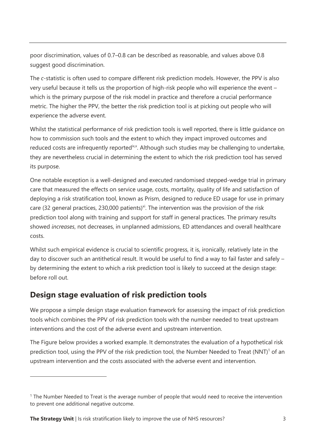poor discrimination, values of 0.7–0.8 can be described as reasonable, and values above 0.8 suggest good discrimination.

The *c*-statistic is often used to compare different risk prediction models. However, the PPV is also very useful because it tells us the proportion of high-risk people who will experience the event – which is the primary purpose of the risk model in practice and therefore a crucial performance metric. The higher the PPV, the better the risk prediction tool is at picking out people who will experience the adverse event.

Whilst the statistical performance of risk prediction tools is well reported, there is little guidance on how to commission such tools and the extent to which they impact improved outcomes and reduced costs are infrequently reported<sup>ixx</sup>. Although such studies may be challenging to undertake, they are nevertheless crucial in determining the extent to which the risk prediction tool has served its purpose.

One notable exception is a well-designed and executed randomised stepped-wedge trial in primary care that measured the effects on service usage, costs, mortality, quality of life and satisfaction of deploying a risk stratification tool, known as Prism, designed to reduce ED usage for use in primary care (32 general practices, 230,000 patients)<sup>xi</sup>. The intervention was the provision of the risk prediction tool along with training and support for staff in general practices. The primary results showed *increases*, not decreases, in unplanned admissions, ED attendances and overall healthcare costs.

Whilst such empirical evidence is crucial to scientific progress, it is, ironically, relatively late in the day to discover such an antithetical result. It would be useful to find a way to fail faster and safely – by determining the extent to which a risk prediction tool is likely to succeed at the design stage: before roll out.

#### **Design stage evaluation of risk prediction tools**

We propose a simple design stage evaluation framework for assessing the impact of risk prediction tools which combines the PPV of risk prediction tools with the number needed to treat upstream interventions and the cost of the adverse event and upstream intervention.

The Figure below provides a worked example. It demonstrates the evaluation of a hypothetical risk prediction tool, using the PPV of the risk prediction tool, the Number Needed to Treat  $(NNT)^1$  of an upstream intervention and the costs associated with the adverse event and intervention.

<sup>&</sup>lt;sup>1</sup> The Number Needed to Treat is the average number of people that would need to receive the intervention to prevent one additional negative outcome.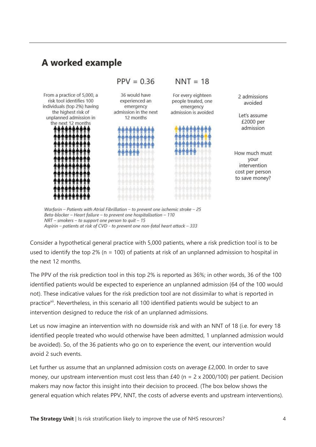### A worked example



Warfarin - Patients with Atrial Fibrillation - to prevent one ischemic stroke - 25 Beta-blocker - Heart failure - to prevent one hospitalisation - 110  $NRT$  – smokers – to support one person to quit – 15 Aspirin - patients at risk of CVD - to prevent one non-fatal heart attack - 333

Consider a hypothetical general practice with 5,000 patients, where a risk prediction tool is to be used to identify the top 2% ( $n = 100$ ) of patients at risk of an unplanned admission to hospital in the next 12 months.

The PPV of the risk prediction tool in this top 2% is reported as 36%; in other words, 36 of the 100 identified patients would be expected to experience an unplanned admission (64 of the 100 would not). These indicative values for the risk prediction tool are not dissimilar to what is reported in practice<sup>xii</sup>. Nevertheless, in this scenario all 100 identified patients would be subject to an intervention designed to reduce the risk of an unplanned admissions.

Let us now imagine an intervention with no downside risk and with an NNT of 18 (i.e. for every 18 identified people treated who would otherwise have been admitted, 1 unplanned admission would be avoided). So, of the 36 patients who go on to experience the event, our intervention would avoid 2 such events.

Let further us assume that an unplanned admission costs on average £2,000. In order to save money, our upstream intervention must cost less than £40 ( $n = 2 \times 2000/100$ ) per patient. Decision makers may now factor this insight into their decision to proceed. (The box below shows the general equation which relates PPV, NNT, the costs of adverse events and upstream interventions).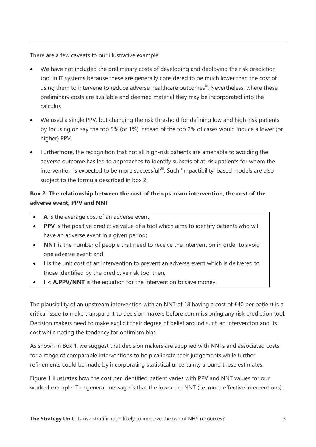There are a few caveats to our illustrative example:

- We have not included the preliminary costs of developing and deploying the risk prediction tool in IT systems because these are generally considered to be much lower than the cost of using them to intervene to reduce adverse healthcare outcomes<sup>ix</sup>. Nevertheless, where these preliminary costs are available and deemed material they may be incorporated into the calculus.
- We used a single PPV, but changing the risk threshold for defining low and high-risk patients by focusing on say the top 5% (or 1%) instead of the top 2% of cases would induce a lower (or higher) PPV.
- Furthermore, the recognition that not all high-risk patients are amenable to avoiding the adverse outcome has led to approaches to identify subsets of at-risk patients for whom the intervention is expected to be more successfulxiii. Such 'impactibility' based models are also subject to the formula described in box 2.

#### **Box 2: The relationship between the cost of the upstream intervention, the cost of the adverse event, PPV and NNT**

- A is the average cost of an adverse event;
- **PPV** is the positive predictive value of a tool which aims to identify patients who will have an adverse event in a given period;
- **NNT** is the number of people that need to receive the intervention in order to avoid one adverse event; and
- **I** is the unit cost of an intervention to prevent an adverse event which is delivered to those identified by the predictive risk tool then,
- **I < A.PPV/NNT** is the equation for the intervention to save money.

The plausibility of an upstream intervention with an NNT of 18 having a cost of £40 per patient is a critical issue to make transparent to decision makers before commissioning any risk prediction tool. Decision makers need to make explicit their degree of belief around such an intervention and its cost while noting the tendency for optimism bias.

As shown in Box 1, we suggest that decision makers are supplied with NNTs and associated costs for a range of comparable interventions to help calibrate their judgements while further refinements could be made by incorporating statistical uncertainty around these estimates.

Figure 1 illustrates how the cost per identified patient varies with PPV and NNT values for our worked example. The general message is that the lower the NNT (i.e. more effective interventions),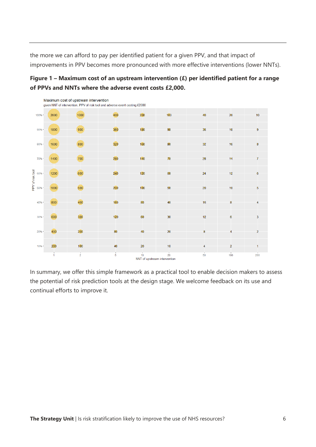the more we can afford to pay per identified patient for a given PPV, and that impact of improvements in PPV becomes more pronounced with more effective interventions (lower NNTs).





In summary, we offer this simple framework as a practical tool to enable decision makers to assess the potential of risk prediction tools at the design stage. We welcome feedback on its use and continual efforts to improve it.